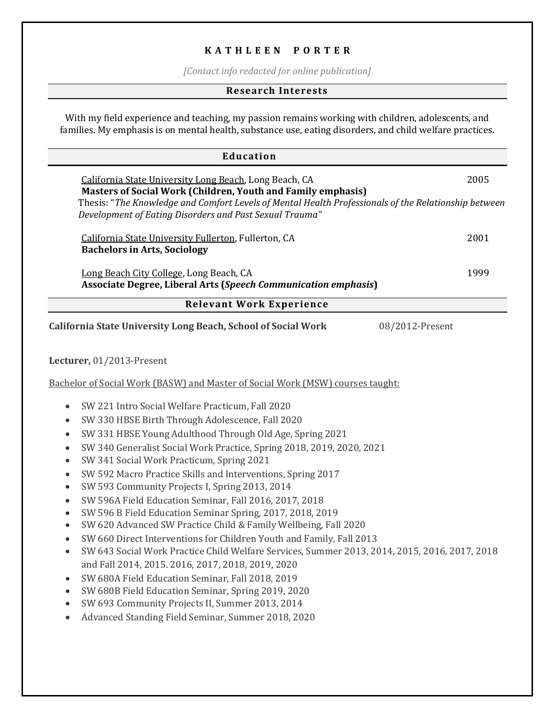### **K A T H L EEN P O R T ER**

*[Contact info redacted for online publication]*

#### **Research Interests**

With my field experience and teaching, my passion remains working with children, adolescents, and families. My emphasis is on mental health, substance use, eating disorders, and child welfare practices.

# **Education** California State University Long Beach, Long Beach, CA 2005 **Masters of Social Work (Children, Youth and Family emphasis)** Thesis: "*The Knowledge and Comfort Levels of Mental Health Professionals of the Relationship between Development of Eating Disorders and Past Sexual Trauma"* California State University Fullerton, Fullerton, CA 2001 **Bachelors in Arts, Sociology** Long Beach City College, Long Beach, CA 1999 **Associate Degree, Liberal Arts (***Speech Communication emphasis***) Relevant Work Experience California State University Long Beach, School of Social Work** 08/2012-Present **Lecturer,** 01/2013-Present Bachelor of Social Work (BASW) and Master of Social Work (MSW) courses taught: • SW 221 Intro Social Welfare Practicum, Fall 2020 • SW 330 HBSE Birth Through Adolescence, Fall 2020 • SW 331 HBSE Young Adulthood Through Old Age, Spring 2021 • SW 340 Generalist Social Work Practice, Spring 2018, 2019, 2020, 2021 • SW 341 Social Work Practicum, Spring 2021 • SW 592 Macro Practice Skills and Interventions, Spring 2017 • SW 593 Community Projects I, Spring 2013, 2014 • SW 596A Field Education Seminar, Fall 2016, 2017, 2018 • SW 596 B Field Education Seminar Spring, 2017, 2018, 2019 • SW 620 Advanced SW Practice Child & Family Wellbeing, Fall 2020 • SW 660 Direct Interventions for Children Youth and Family, Fall 2013 • SW 643 Social Work Practice Child Welfare Services, Summer 2013, 2014, 2015, 2016, 2017, 2018 and Fall 2014, 2015. 2016, 2017, 2018, 2019, 2020 • SW 680A Field Education Seminar, Fall 2018, 2019 • SW 680B Field Education Seminar, Spring 2019, 2020 • SW 693 Community Projects II, Summer 2013, 2014 • Advanced Standing Field Seminar, Summer 2018, 2020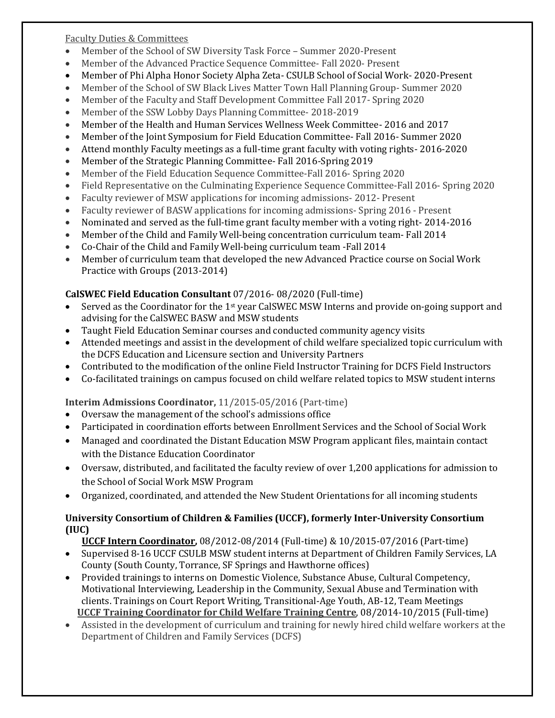Faculty Duties & Committees

- Member of the School of SW Diversity Task Force Summer 2020-Present
- Member of the Advanced Practice Sequence Committee- Fall 2020- Present
- Member of Phi Alpha Honor Society Alpha Zeta- CSULB School of Social Work- 2020-Present
- Member of the School of SW Black Lives Matter Town Hall Planning Group- Summer 2020
- Member of the Faculty and Staff Development Committee Fall 2017- Spring 2020
- Member of the SSW Lobby Days Planning Committee- 2018-2019
- Member of the Health and Human Services Wellness Week Committee- 2016 and 2017
- Member of the Joint Symposium for Field Education Committee- Fall 2016- Summer 2020
- Attend monthly Faculty meetings as a full-time grant faculty with voting rights- 2016-2020
- Member of the Strategic Planning Committee- Fall 2016-Spring 2019
- Member of the Field Education Sequence Committee-Fall 2016- Spring 2020
- Field Representative on the Culminating Experience Sequence Committee-Fall 2016- Spring 2020
- Faculty reviewer of MSW applications for incoming admissions- 2012- Present
- Faculty reviewer of BASW applications for incoming admissions- Spring 2016 Present
- Nominated and served as the full-time grant faculty member with a voting right- 2014-2016
- Member of the Child and Family Well-being concentration curriculum team- Fall 2014
- Co-Chair of the Child and Family Well-being curriculum team -Fall 2014
- Member of curriculum team that developed the new Advanced Practice course on Social Work Practice with Groups (2013-2014)

## **CalSWEC Field Education Consultant** 07/2016- 08/2020 (Full-time)

- Served as the Coordinator for the 1st year CalSWEC MSW Interns and provide on-going support and advising for the CalSWEC BASW and MSW students
- Taught Field Education Seminar courses and conducted community agency visits
- Attended meetings and assist in the development of child welfare specialized topic curriculum with the DCFS Education and Licensure section and University Partners
- Contributed to the modification of the online Field Instructor Training for DCFS Field Instructors
- Co-facilitated trainings on campus focused on child welfare related topics to MSW student interns

## **Interim Admissions Coordinator,** 11/2015-05/2016 (Part-time)

- Oversaw the management of the school's admissions office
- Participated in coordination efforts between Enrollment Services and the School of Social Work
- Managed and coordinated the Distant Education MSW Program applicant files, maintain contact with the Distance Education Coordinator
- Oversaw, distributed, and facilitated the faculty review of over 1,200 applications for admission to the School of Social Work MSW Program
- Organized, coordinated, and attended the New Student Orientations for all incoming students

## **University Consortium of Children & Families (UCCF), formerly Inter-University Consortium (IUC)**

 **UCCF Intern Coordinator,** 08/2012-08/2014 (Full-time) & 10/2015-07/2016 (Part-time)

- Supervised 8-16 UCCF CSULB MSW student interns at Department of Children Family Services, LA County (South County, Torrance, SF Springs and Hawthorne offices)
- Provided trainings to interns on Domestic Violence, Substance Abuse, Cultural Competency, Motivational Interviewing, Leadership in the Community, Sexual Abuse and Termination with clients. Trainings on Court Report Writing, Transitional-Age Youth, AB-12, Team Meetings **UCCF Training Coordinator for Child Welfare Training Centre**, 08/2014-10/2015 (Full-time)
- Assisted in the development of curriculum and training for newly hired child welfare workers at the Department of Children and Family Services (DCFS)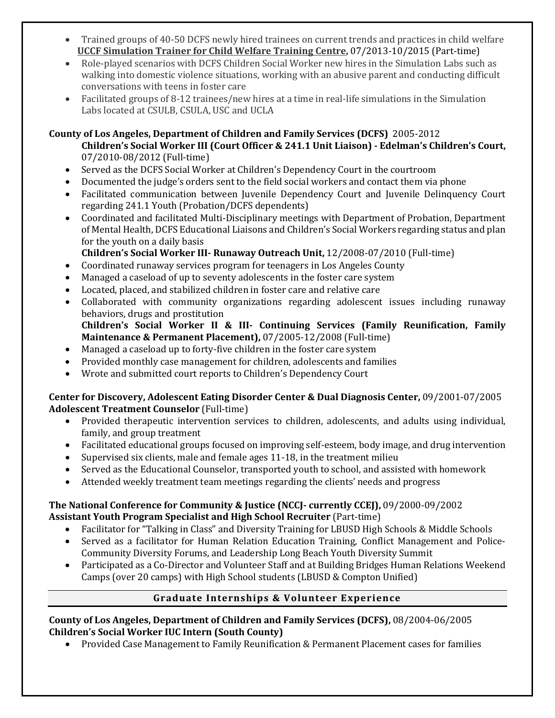- Trained groups of 40-50 DCFS newly hired trainees on current trends and practices in child welfare **UCCF Simulation Trainer for Child Welfare Training Centre,** 07/2013-10/2015 (Part-time)
- Role-played scenarios with DCFS Children Social Worker new hires in the Simulation Labs such as walking into domestic violence situations, working with an abusive parent and conducting difficult conversations with teens in foster care
- Facilitated groups of 8-12 trainees/new hires at a time in real-life simulations in the Simulation Labs located at CSULB, CSULA, USC and UCLA

## **County of Los Angeles, Department of Children and Family Services (DCFS)** 2005-2012

- **Children's Social Worker III (Court Officer & 241.1 Unit Liaison) - Edelman's Children's Court,** 07/2010-08/2012 (Full-time)
- Served as the DCFS Social Worker at Children's Dependency Court in the courtroom
- Documented the judge's orders sent to the field social workers and contact them via phone
- Facilitated communication between Juvenile Dependency Court and Juvenile Delinquency Court regarding 241.1 Youth (Probation/DCFS dependents)
- Coordinated and facilitated Multi-Disciplinary meetings with Department of Probation, Department of Mental Health, DCFS Educational Liaisons and Children's Social Workers regarding status and plan for the youth on a daily basis
	- **Children's Social Worker III- Runaway Outreach Unit,** 12/2008-07/2010 (Full-time)
- Coordinated runaway services program for teenagers in Los Angeles County
- Managed a caseload of up to seventy adolescents in the foster care system
- Located, placed, and stabilized children in foster care and relative care
- Collaborated with community organizations regarding adolescent issues including runaway behaviors, drugs and prostitution
- **Children's Social Worker II & III- Continuing Services (Family Reunification, Family Maintenance & Permanent Placement),** 07/2005-12/2008 (Full-time)
- Managed a caseload up to forty-five children in the foster care system
- Provided monthly case management for children, adolescents and families
- Wrote and submitted court reports to Children's Dependency Court

## **Center for Discovery, Adolescent Eating Disorder Center & Dual Diagnosis Center,** 09/2001-07/2005 **Adolescent Treatment Counselor** (Full-time)

- Provided therapeutic intervention services to children, adolescents, and adults using individual, family, and group treatment
- Facilitated educational groups focused on improving self-esteem, body image, and drug intervention
- Supervised six clients, male and female ages 11-18, in the treatment milieu
- Served as the Educational Counselor, transported youth to school, and assisted with homework
- Attended weekly treatment team meetings regarding the clients' needs and progress

## **The National Conference for Community & Justice (NCCJ- currently CCEJ),** 09/2000-09/2002 **Assistant Youth Program Specialist and High School Recruiter** (Part-time)

- Facilitator for "Talking in Class" and Diversity Training for LBUSD High Schools & Middle Schools
- Served as a facilitator for Human Relation Education Training, Conflict Management and Police-Community Diversity Forums, and Leadership Long Beach Youth Diversity Summit
- Participated as a Co-Director and Volunteer Staff and at Building Bridges Human Relations Weekend Camps (over 20 camps) with High School students (LBUSD & Compton Unified)

## **Graduate Internships & Volunteer Experience**

### **County of Los Angeles, Department of Children and Family Services (DCFS),** 08/2004-06/2005 **Children's Social Worker IUC Intern (South County)**

• Provided Case Management to Family Reunification & Permanent Placement cases for families